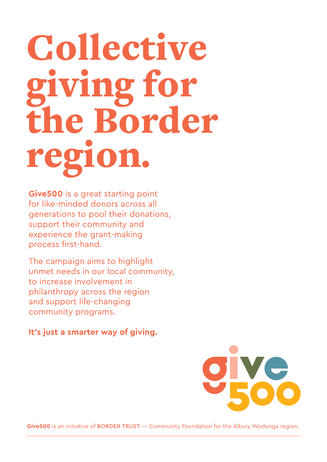# Collective giving for the Border regi

**Give500** is a great starting point for like-minded donors across all generations to pool their donations, support their community and experience the grant-making process first-hand.

The campaign aims to highlight unmet needs in our local community, to increase involvement in philanthropy across the region and support life-changing community programs.

**It's just a smarter way of giving.**



**Give500** is an initiative of BORDER TRUST — Community Foundation for the Albury Wodonga region.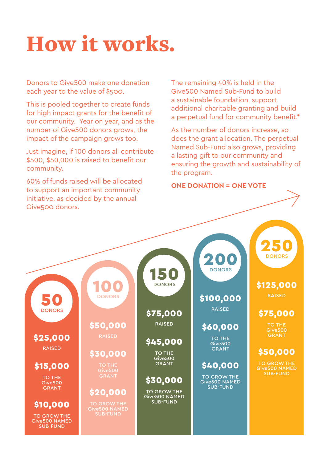## How it works.

Donors to Give500 make one donation each year to the value of \$500.

This is pooled together to create funds for high impact grants for the benefit of our community. Year on year, and as the number of Give500 donors grows, the impact of the campaign grows too.

Just imagine, if 100 donors all contribute \$500, \$50,000 is raised to benefit our community.

60% of funds raised will be allocated to support an important community initiative, as decided by the annual Give500 donors.

The remaining 40% is held in the Give500 Named Sub-Fund to build a sustainable foundation, support additional charitable granting and build a perpetual fund for community benefit.\*

As the number of donors increase, so does the grant allocation. The perpetual Named Sub-Fund also grows, providing a lasting gift to our community and ensuring the growth and sustainability of the program.

**ONE DONATION = ONE VOTE**

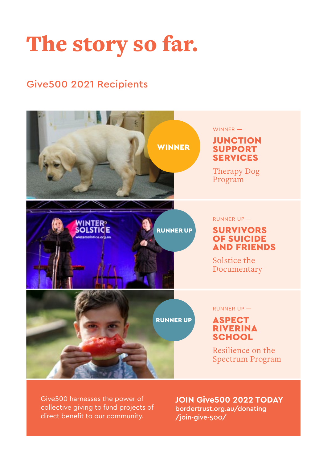## The story so far.

#### Give500 2021 Recipients



Give500 harnesses the power of collective giving to fund projects of direct benefit to our community.

**JOIN Give500 2022 TODAY**  bordertrust.org.au/donating /join-give-500/